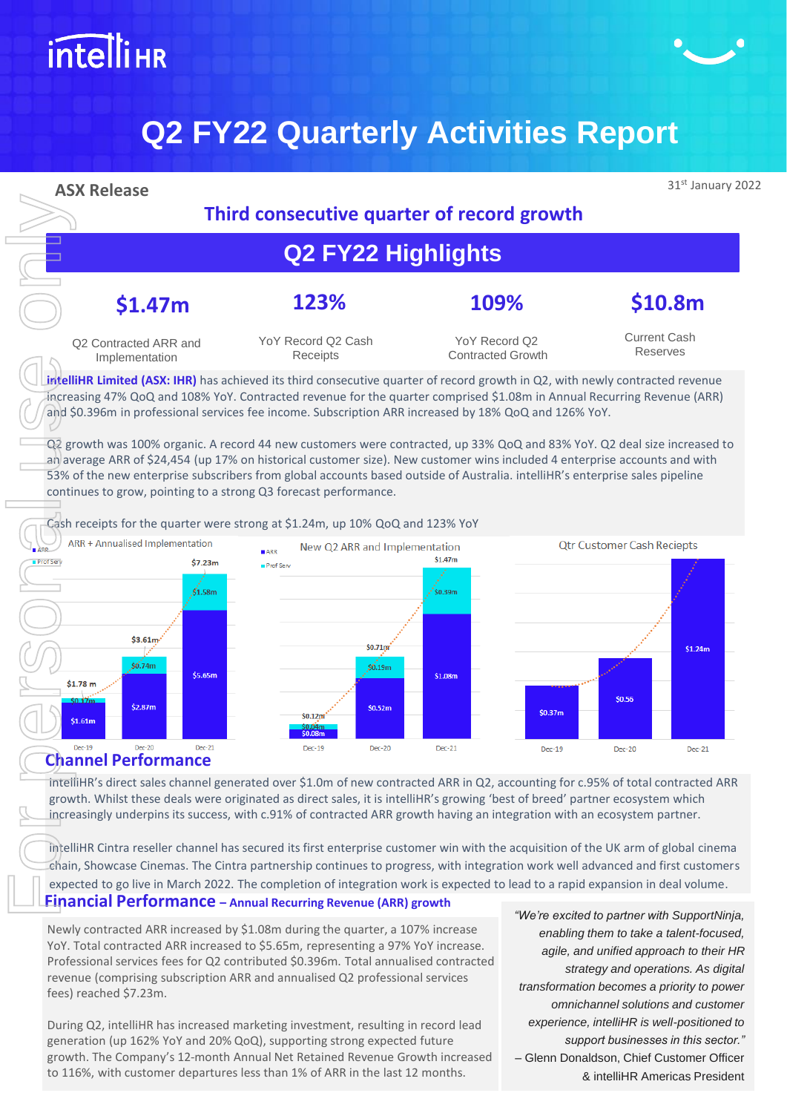

# **Q2 FY22 Quarterly Activities Report**



intelliHR's direct sales channel generated over \$1.0m of new contracted ARR in Q2, accounting for c.95% of total contracted ARR growth. Whilst these deals were originated as direct sales, it is intelliHR's growing 'best of breed' partner ecosystem which increasingly underpins its success, with c.91% of contracted ARR growth having an integration with an ecosystem partner.

intelliHR Cintra reseller channel has secured its first enterprise customer win with the acquisition of the UK arm of global cinema chain, Showcase Cinemas. The Cintra partnership continues to progress, with integration work well advanced and first customers expected to go live in March 2022. The completion of integration work is expected to lead to a rapid expansion in deal volume.

#### **Financial Performance – Annual Recurring Revenue (ARR) growth**

Newly contracted ARR increased by \$1.08m during the quarter, a 107% increase YoY. Total contracted ARR increased to \$5.65m, representing a 97% YoY increase. Professional services fees for Q2 contributed \$0.396m. Total annualised contracted revenue (comprising subscription ARR and annualised Q2 professional services fees) reached \$7.23m.

During Q2, intelliHR has increased marketing investment, resulting in record lead generation (up 162% YoY and 20% QoQ), supporting strong expected future growth. The Company's 12-month Annual Net Retained Revenue Growth increased to 116%, with customer departures less than 1% of ARR in the last 12 months.

*"We're excited to partner with SupportNinja, enabling them to take a talent-focused, agile, and unified approach to their HR strategy and operations. As digital transformation becomes a priority to power omnichannel solutions and customer experience, intelliHR is well-positioned to support businesses in this sector."*  – Glenn Donaldson, Chief Customer Officer & intelliHR Americas President

c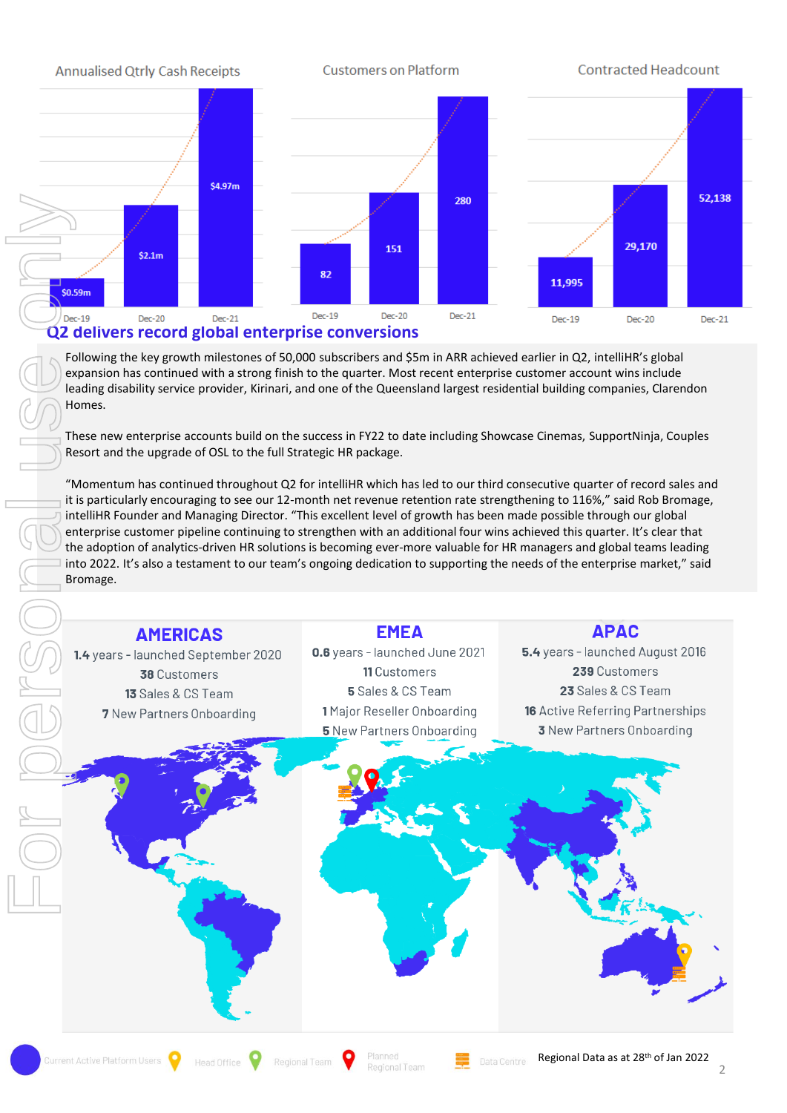

Following the key growth milestones of 50,000 subscribers and \$5m in ARR achieved earlier in Q2, intelliHR's global expansion has continued with a strong finish to the quarter. Most recent enterprise customer account wins include leading disability service provider, Kirinari, and one of the Queensland largest residential building companies, Clarendon Homes.

These new enterprise accounts build on the success in FY22 to date including Showcase Cinemas, SupportNinja, Couples Resort and the upgrade of OSL to the full Strategic HR package.

"Momentum has continued throughout Q2 for intelliHR which has led to our third consecutive quarter of record sales and it is particularly encouraging to see our 12-month net revenue retention rate strengthening to 116%," said Rob Bromage, intelliHR Founder and Managing Director. "This excellent level of growth has been made possible through our global enterprise customer pipeline continuing to strengthen with an additional four wins achieved this quarter. It's clear that the adoption of analytics-driven HR solutions is becoming ever-more valuable for HR managers and global teams leading into 2022. It's also a testament to our team's ongoing dedication to supporting the needs of the enterprise market," said Bromage.

## **AMERICAS** 1.4 years - launched September 2020 38 Customers 13 Sales & CS Team **7** New Partners Onboarding

0.6 years - launched June 2021 11 Customers 5 Sales & CS Team 1 Major Reseller Onboarding **5** New Partners Onboarding

**EMEA** 

#### **APAC**

5.4 years - launched August 2016 239 Customers 23 Sales & CS Team **16** Active Referring Partnerships **3** New Partners Onboarding

2

For personal use only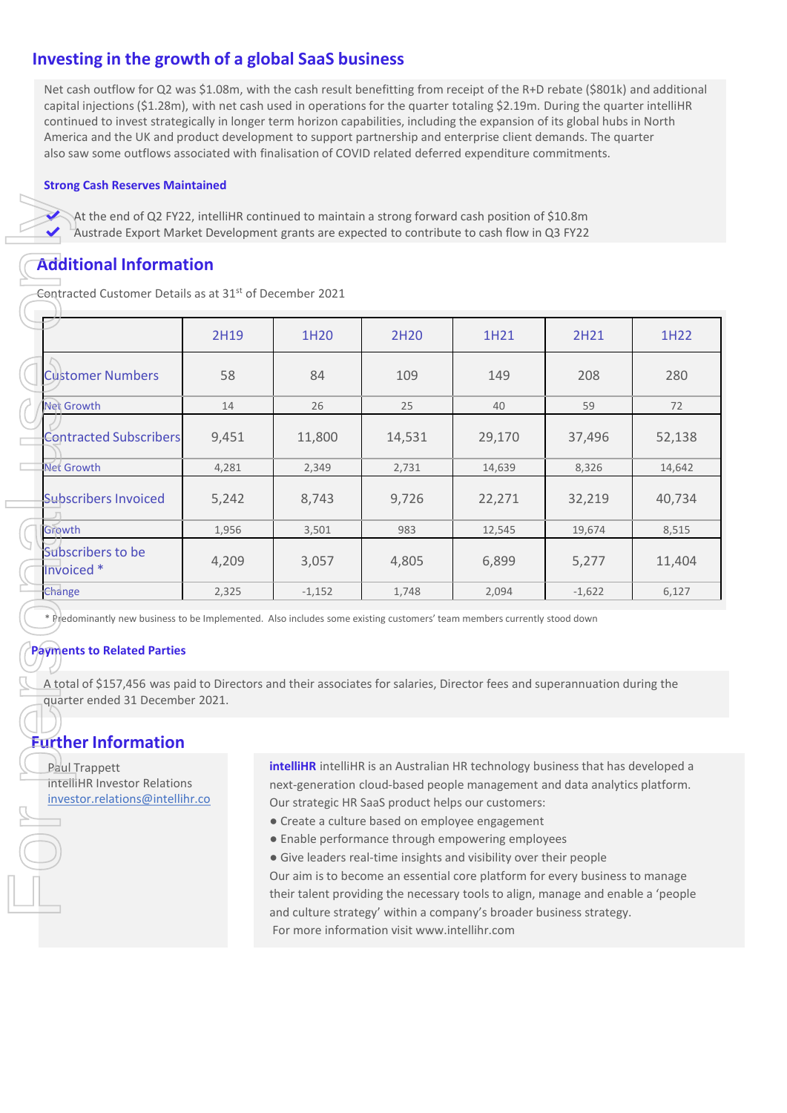### **Investing in the growth of a global SaaS business**

Net cash outflow for Q2 was \$1.08m, with the cash result benefitting from receipt of the R+D rebate (\$801k) and additional capital injections (\$1.28m), with net cash used in operations for the quarter totaling \$2.19m. During the quarter intelliHR continued to invest strategically in longer term horizon capabilities, including the expansion of its global hubs in North America and the UK and product development to support partnership and enterprise client demands. The quarter also saw some outflows associated with finalisation of COVID related deferred expenditure commitments.

#### **Strong Cash Reserves Maintained**

#### **Additional Information**

| <b>Additional Information</b>                                                                                                                                                                                                                                                                                                                                                                                                           |       |          |        | Austrade Export Market Development grants are expected to contribute to cash flow in Q3 FY22 |          |        |
|-----------------------------------------------------------------------------------------------------------------------------------------------------------------------------------------------------------------------------------------------------------------------------------------------------------------------------------------------------------------------------------------------------------------------------------------|-------|----------|--------|----------------------------------------------------------------------------------------------|----------|--------|
| Contracted Customer Details as at 31st of December 2021                                                                                                                                                                                                                                                                                                                                                                                 |       |          |        |                                                                                              |          |        |
|                                                                                                                                                                                                                                                                                                                                                                                                                                         | 2H19  | 1H20     | 2H20   | 1H21                                                                                         | 2H21     | 1H22   |
| <b>Customer Numbers</b>                                                                                                                                                                                                                                                                                                                                                                                                                 | 58    | 84       | 109    | 149                                                                                          | 208      | 280    |
| <b>Net Growth</b>                                                                                                                                                                                                                                                                                                                                                                                                                       | 14    | 26       | 25     | 40                                                                                           | 59       | 72     |
| <b>Contracted Subscribers</b>                                                                                                                                                                                                                                                                                                                                                                                                           | 9,451 | 11,800   | 14,531 | 29,170                                                                                       | 37,496   | 52,138 |
| <b>Net Growth</b>                                                                                                                                                                                                                                                                                                                                                                                                                       | 4,281 | 2,349    | 2,731  | 14,639                                                                                       | 8,326    | 14,642 |
| Subscribers Invoiced                                                                                                                                                                                                                                                                                                                                                                                                                    | 5,242 | 8,743    | 9,726  | 22,271                                                                                       | 32,219   | 40,734 |
| Growth                                                                                                                                                                                                                                                                                                                                                                                                                                  | 1,956 | 3,501    | 983    | 12,545                                                                                       | 19,674   | 8,515  |
| Subscribers to be<br>Invoiced *                                                                                                                                                                                                                                                                                                                                                                                                         | 4,209 | 3,057    | 4,805  | 6,899                                                                                        | 5,277    | 11,404 |
| Change                                                                                                                                                                                                                                                                                                                                                                                                                                  | 2,325 | $-1,152$ | 1,748  | 2,094                                                                                        | $-1,622$ | 6,127  |
| * Predominantly new business to be Implemented. Also includes some existing customers' team members currently stood down<br><b>Payments to Related Parties</b><br>A total of \$157,456 was paid to Directors and their associates for salaries, Director fees and superannuation during the<br>quarter ended 31 December 2021.<br><b>Further Information</b>                                                                            |       |          |        |                                                                                              |          |        |
| intelliHR intelliHR is an Australian HR technology business that has developed a<br><b>Paul Trappett</b><br>intelliHR Investor Relations<br>next-generation cloud-based people management and data analytics platform.                                                                                                                                                                                                                  |       |          |        |                                                                                              |          |        |
| investor.relations@intellihr.co<br>Our strategic HR SaaS product helps our customers:<br>• Create a culture based on employee engagement<br>• Enable performance through empowering employees<br>• Give leaders real-time insights and visibility over their people<br>Our aim is to become an essential core platform for every business to manage<br>their talent providing the necessary tools to align, manage and enable a 'people |       |          |        |                                                                                              |          |        |

#### **Payments to Related Parties**

### **Further Information**

- Create a culture based on employee engagement
- Enable performance through empowering employees

● Give leaders real-time insights and visibility over their people Our aim is to become an essential core platform for every business to manage their talent providing the necessary tools to align, manage and enable a 'people and culture strategy' within a company's broader business strategy. For more information visit www.intellihr.com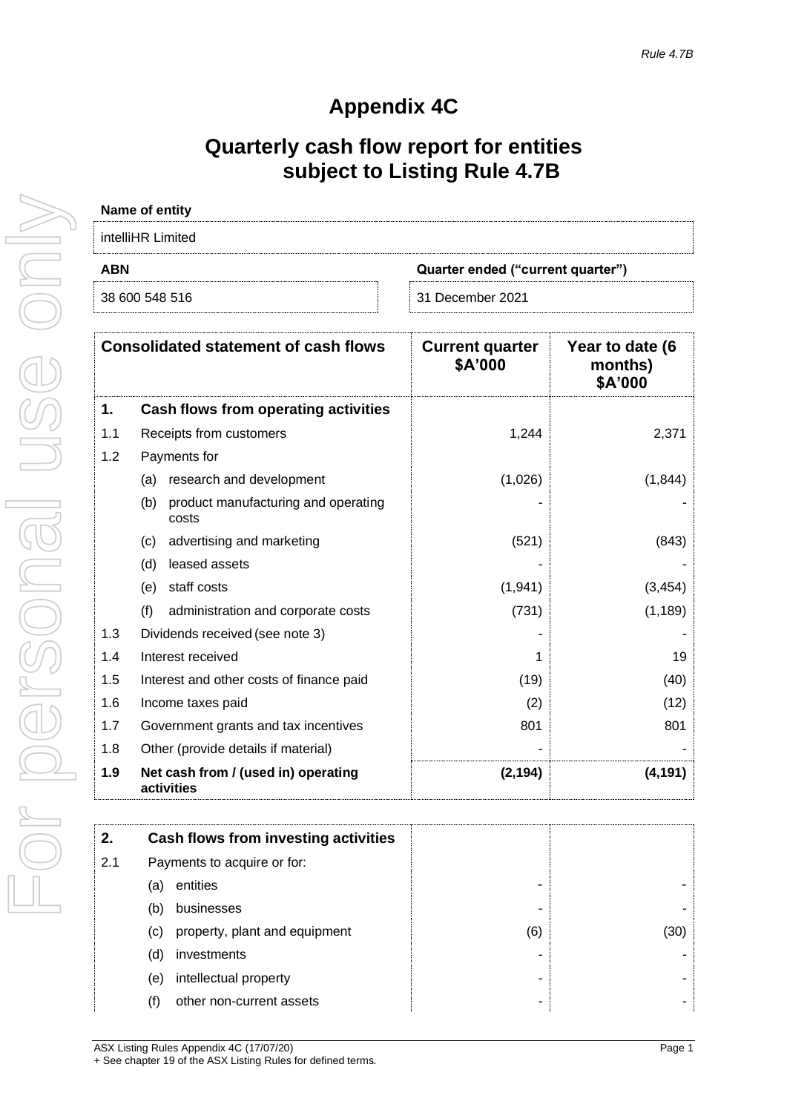# **Appendix 4C**

# **Quarterly cash flow report for entities subject to Listing Rule 4.7B**

| Name of entity    |                                   |  |  |  |  |
|-------------------|-----------------------------------|--|--|--|--|
| intelliHR Limited |                                   |  |  |  |  |
| <b>ABN</b>        | Quarter ended ("current quarter") |  |  |  |  |
| 38 600 548 516    | 31 December 2021                  |  |  |  |  |

|     | <b>Consolidated statement of cash flows</b>         | <b>Current quarter</b><br>\$A'000 | Year to date (6<br>months)<br>\$A'000 |
|-----|-----------------------------------------------------|-----------------------------------|---------------------------------------|
| 1.  | Cash flows from operating activities                |                                   |                                       |
| 1.1 | Receipts from customers                             | 1,244                             | 2,371                                 |
| 1.2 | Payments for                                        |                                   |                                       |
|     | (a) research and development                        | (1,026)                           | (1,844)                               |
|     | product manufacturing and operating<br>(b)<br>costs |                                   |                                       |
|     | advertising and marketing<br>(C)                    | (521)                             | (843)                                 |
|     | leased assets<br>(d)                                |                                   |                                       |
|     | staff costs<br>(e)                                  | (1,941)                           | (3, 454)                              |
|     | (f)<br>administration and corporate costs           | (731)                             | (1, 189)                              |
| 1.3 | Dividends received (see note 3)                     |                                   |                                       |
| 1.4 | Interest received                                   | 1                                 | 19                                    |
| 1.5 | Interest and other costs of finance paid            | (19)                              | (40)                                  |
| 1.6 | Income taxes paid                                   | (2)                               | (12)                                  |
| 1.7 | Government grants and tax incentives                | 801                               | 801                                   |
| 1.8 | Other (provide details if material)                 |                                   |                                       |
| 1.9 | Net cash from / (used in) operating<br>activities   | (2, 194)                          | (4, 191)                              |

| 2.  |     | Cash flows from investing activities |     |  |
|-----|-----|--------------------------------------|-----|--|
| 2.1 |     | Payments to acquire or for:          |     |  |
|     | (a  | entities                             |     |  |
|     | (b) | businesses                           |     |  |
|     | (C) | property, plant and equipment        | (6) |  |
|     | (d) | investments                          |     |  |
|     | (e) | intellectual property                |     |  |
|     | (†) | other non-current assets             |     |  |
|     |     |                                      |     |  |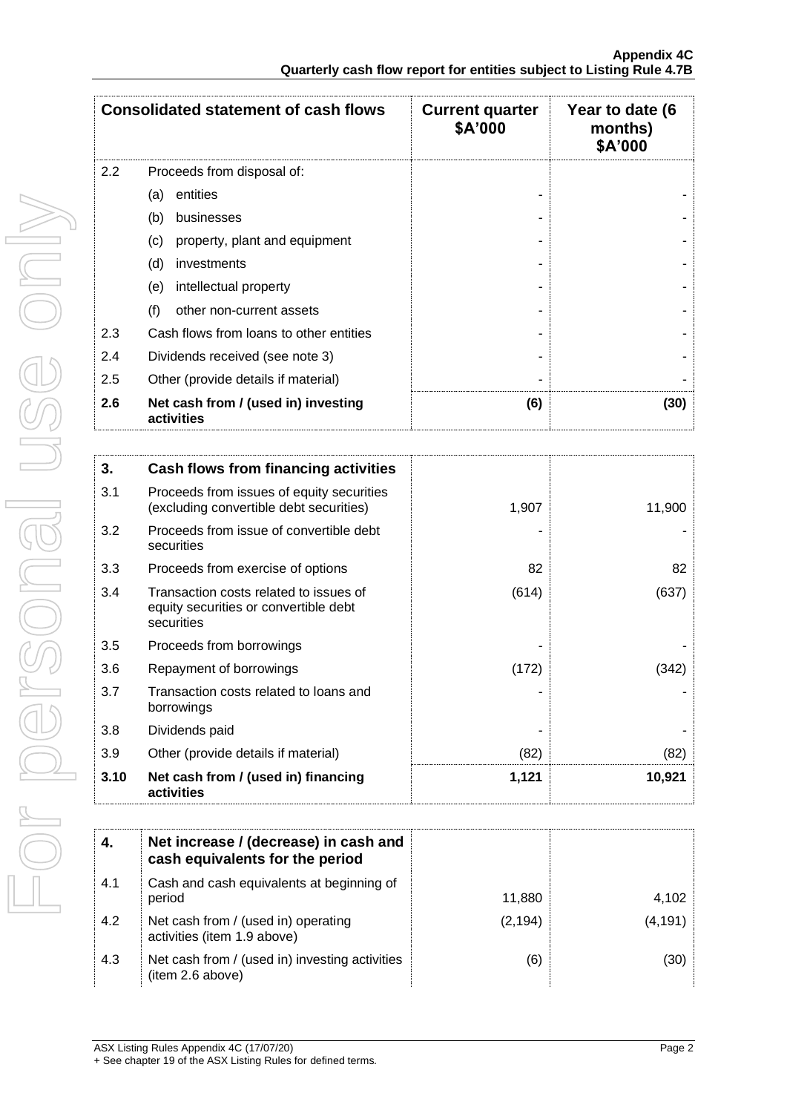|                                   | <b>Consolidated statement of cash flows</b>       | <b>Current quarter</b><br>\$A'000 | Year to date (6<br>months)<br>\$A'000 |
|-----------------------------------|---------------------------------------------------|-----------------------------------|---------------------------------------|
| 2.2<br>Proceeds from disposal of: |                                                   |                                   |                                       |
|                                   | entities<br>(a)                                   |                                   |                                       |
|                                   | (b)<br>businesses                                 |                                   |                                       |
|                                   | property, plant and equipment<br>(c)              |                                   |                                       |
|                                   | (d)<br>investments                                |                                   |                                       |
|                                   | (e)<br>intellectual property                      |                                   |                                       |
|                                   | (f)<br>other non-current assets                   |                                   |                                       |
| 2.3                               | Cash flows from loans to other entities           |                                   |                                       |
| 2.4                               | Dividends received (see note 3)                   |                                   |                                       |
| 2.5                               | Other (provide details if material)               |                                   |                                       |
| 2.6                               | Net cash from / (used in) investing<br>activities | (6)                               | (30)                                  |

| 3.   | Cash flows from financing activities                                                          |       |        |
|------|-----------------------------------------------------------------------------------------------|-------|--------|
| 3.1  | Proceeds from issues of equity securities<br>(excluding convertible debt securities)          | 1,907 | 11,900 |
| 3.2  | Proceeds from issue of convertible debt<br>securities                                         |       |        |
| 3.3  | Proceeds from exercise of options                                                             | 82    | 82     |
| 3.4  | Transaction costs related to issues of<br>equity securities or convertible debt<br>securities | (614) | (637)  |
| 3.5  | Proceeds from borrowings                                                                      |       |        |
| 3.6  | Repayment of borrowings                                                                       | (172) | (342)  |
| 3.7  | Transaction costs related to loans and<br>borrowings                                          |       |        |
| 3.8  | Dividends paid                                                                                |       |        |
| 3.9  | Other (provide details if material)                                                           | (82)  | (82)   |
| 3.10 | Net cash from / (used in) financing<br>activities                                             | 1,121 | 10,921 |

|     | Net increase / (decrease) in cash and<br>cash equivalents for the period |          |        |
|-----|--------------------------------------------------------------------------|----------|--------|
| 4.1 | Cash and cash equivalents at beginning of<br>period                      | 11.880   | 4,102  |
| 4.2 | Net cash from / (used in) operating<br>activities (item 1.9 above)       | (2, 194) | (4.191 |
| 4.3 | Net cash from / (used in) investing activities<br>(item 2.6 above)       | (6)      | 30)    |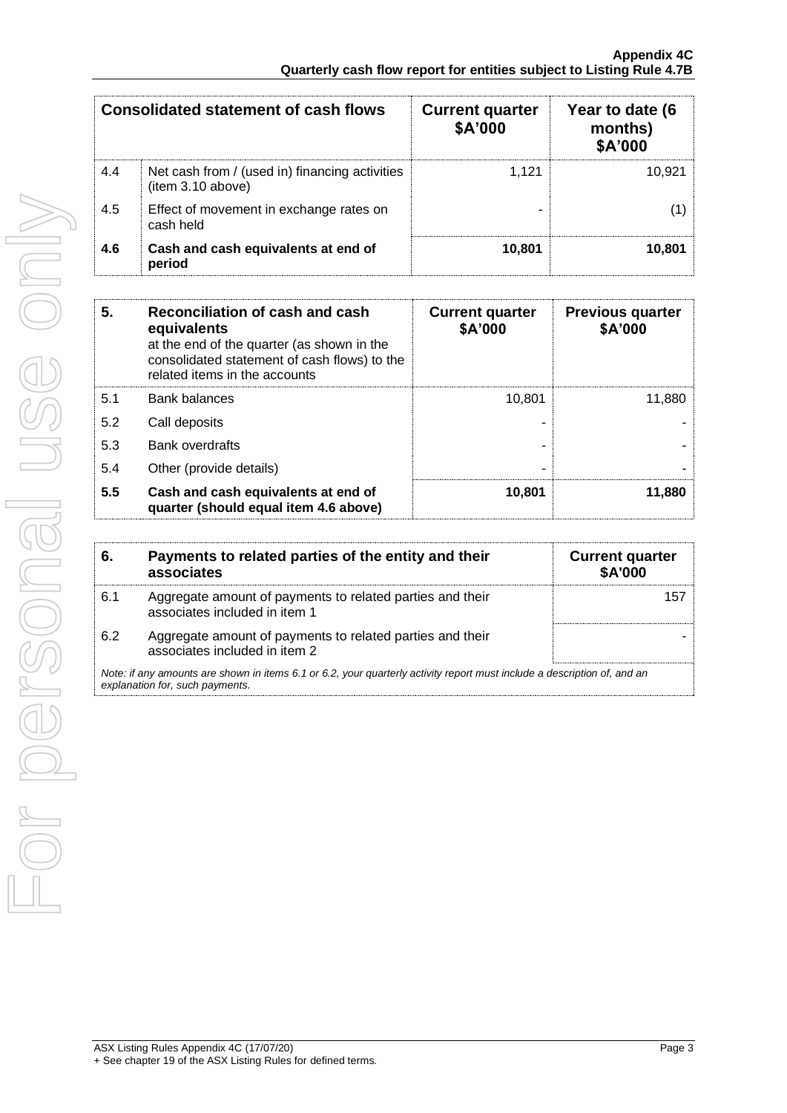| <b>Consolidated statement of cash flows</b> |                                                                     | <b>Current quarter</b><br>\$A'000 | Year to date (6<br>months)<br><b>\$A'000</b> |
|---------------------------------------------|---------------------------------------------------------------------|-----------------------------------|----------------------------------------------|
| 4.4                                         | Net cash from / (used in) financing activities<br>(item 3.10 above) | 1.121                             | 10.921                                       |
| 4.5                                         | Effect of movement in exchange rates on<br>cash held                |                                   |                                              |
| 4.6                                         | Cash and cash equivalents at end of<br>period                       | 10.801                            | 10.801                                       |

| 5.  | Reconciliation of cash and cash<br>equivalents<br>at the end of the quarter (as shown in the<br>consolidated statement of cash flows) to the<br>related items in the accounts | <b>Current quarter</b><br>\$A'000 | <b>Previous quarter</b><br>\$A'000 |
|-----|-------------------------------------------------------------------------------------------------------------------------------------------------------------------------------|-----------------------------------|------------------------------------|
| 5.1 | <b>Bank balances</b>                                                                                                                                                          | 10.801                            | 11,880                             |
| 5.2 | Call deposits                                                                                                                                                                 |                                   |                                    |
| 5.3 | <b>Bank overdrafts</b>                                                                                                                                                        |                                   |                                    |
| 5.4 | Other (provide details)                                                                                                                                                       |                                   |                                    |
| 5.5 | Cash and cash equivalents at end of<br>quarter (should equal item 4.6 above)                                                                                                  | 10,801                            | 11,880                             |

| 6.  | Payments to related parties of the entity and their<br>associates                                                                                           | <b>Current quarter</b><br><b>\$A'000</b> |
|-----|-------------------------------------------------------------------------------------------------------------------------------------------------------------|------------------------------------------|
| 6.1 | Aggregate amount of payments to related parties and their<br>associates included in item 1                                                                  |                                          |
| 6.2 | Aggregate amount of payments to related parties and their<br>associates included in item 2                                                                  |                                          |
|     | Note: if any amounts are shown in items 6.1 or 6.2, your quarterly activity report must include a description of, and an<br>explanation for, such payments. |                                          |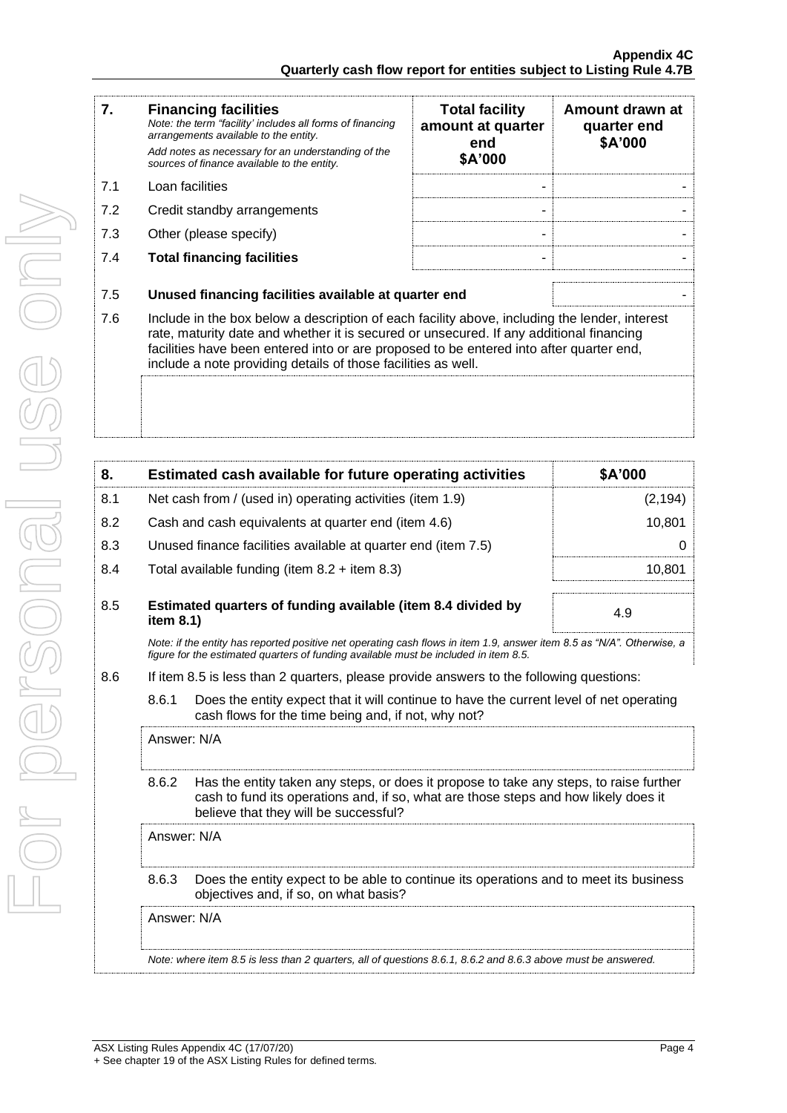| 7.  | <b>Financing facilities</b><br>Note: the term "facility' includes all forms of financing<br>arrangements available to the entity.<br>Add notes as necessary for an understanding of the<br>sources of finance available to the entity.                                                                                                               | <b>Total facility</b><br>amount at quarter<br>end<br>\$A'000 | Amount drawn at<br>quarter end<br>\$A'000 |  |  |
|-----|------------------------------------------------------------------------------------------------------------------------------------------------------------------------------------------------------------------------------------------------------------------------------------------------------------------------------------------------------|--------------------------------------------------------------|-------------------------------------------|--|--|
| 7.1 | Loan facilities                                                                                                                                                                                                                                                                                                                                      |                                                              |                                           |  |  |
| 7.2 | Credit standby arrangements                                                                                                                                                                                                                                                                                                                          |                                                              |                                           |  |  |
| 7.3 | Other (please specify)                                                                                                                                                                                                                                                                                                                               |                                                              |                                           |  |  |
| 7.4 | <b>Total financing facilities</b>                                                                                                                                                                                                                                                                                                                    |                                                              |                                           |  |  |
| 7.5 | Unused financing facilities available at quarter end                                                                                                                                                                                                                                                                                                 |                                                              |                                           |  |  |
| 7.6 | Include in the box below a description of each facility above, including the lender, interest<br>rate, maturity date and whether it is secured or unsecured. If any additional financing<br>facilities have been entered into or are proposed to be entered into after quarter end,<br>include a note providing details of those facilities as well. |                                                              |                                           |  |  |
|     |                                                                                                                                                                                                                                                                                                                                                      |                                                              |                                           |  |  |

| 8.  |             | Estimated cash available for future operating activities                                                                                                                                                               | <b>\$A'000</b> |  |  |
|-----|-------------|------------------------------------------------------------------------------------------------------------------------------------------------------------------------------------------------------------------------|----------------|--|--|
| 8.1 |             | Net cash from / (used in) operating activities (item 1.9)                                                                                                                                                              | (2, 194)       |  |  |
| 8.2 |             | Cash and cash equivalents at quarter end (item 4.6)                                                                                                                                                                    | 10,801         |  |  |
| 8.3 |             | Unused finance facilities available at quarter end (item 7.5)                                                                                                                                                          | 0              |  |  |
| 8.4 |             | Total available funding (item $8.2 +$ item $8.3$ )                                                                                                                                                                     | 10,801         |  |  |
| 8.5 | item 8.1)   | Estimated quarters of funding available (item 8.4 divided by                                                                                                                                                           | 4.9            |  |  |
|     |             | Note: if the entity has reported positive net operating cash flows in item 1.9, answer item 8.5 as "N/A". Otherwise, a<br>figure for the estimated quarters of funding available must be included in item 8.5.         |                |  |  |
| 8.6 |             | If item 8.5 is less than 2 quarters, please provide answers to the following questions:                                                                                                                                |                |  |  |
|     | 8.6.1       | Does the entity expect that it will continue to have the current level of net operating<br>cash flows for the time being and, if not, why not?                                                                         |                |  |  |
|     | Answer: N/A |                                                                                                                                                                                                                        |                |  |  |
|     | 8.6.2       | Has the entity taken any steps, or does it propose to take any steps, to raise further<br>cash to fund its operations and, if so, what are those steps and how likely does it<br>believe that they will be successful? |                |  |  |
|     | Answer: N/A |                                                                                                                                                                                                                        |                |  |  |
|     | 8.6.3       | Does the entity expect to be able to continue its operations and to meet its business<br>objectives and, if so, on what basis?                                                                                         |                |  |  |
|     |             | Answer: N/A                                                                                                                                                                                                            |                |  |  |
|     |             | Note: where item 8.5 is less than 2 quarters, all of questions 8.6.1, 8.6.2 and 8.6.3 above must be answered.                                                                                                          |                |  |  |